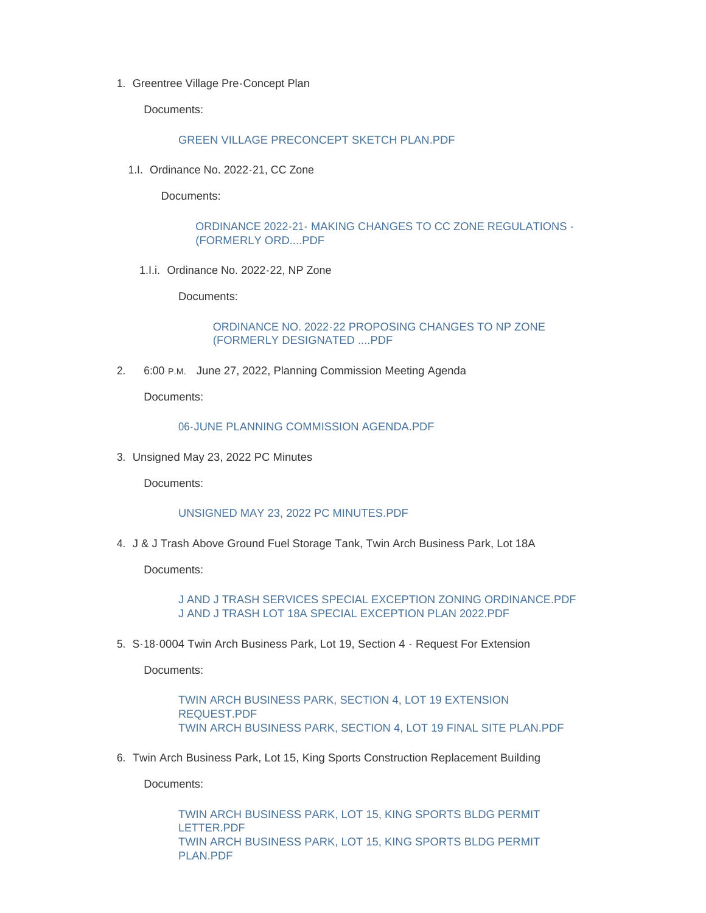1. Greentree Village Pre-Concept Plan

Documents:

## [GREEN VILLAGE PRECONCEPT SKETCH PLAN.PDF](https://www.mountairymd.org/AgendaCenter/ViewFile/Item/1886?fileID=41603)

1.I. Ordinance No. 2022-21, CC Zone

Documents:

[ORDINANCE 2022-21- MAKING CHANGES TO CC ZONE REGULATIONS -](https://www.mountairymd.org/AgendaCenter/ViewFile/Item/1884?fileID=41601) (FORMERLY ORD....PDF

1.I.i. Ordinance No. 2022-22, NP Zone

Documents:

[ORDINANCE NO. 2022-22 PROPOSING CHANGES TO NP ZONE](https://www.mountairymd.org/AgendaCenter/ViewFile/Item/1885?fileID=41602)  (FORMERLY DESIGNATED ....PDF

2. 6:00 P.M. June 27, 2022, Planning Commission Meeting Agenda

Documents:

[06-JUNE PLANNING COMMISSION AGENDA.PDF](https://www.mountairymd.org/AgendaCenter/ViewFile/Item/1879?fileID=41593)

3. Unsigned May 23, 2022 PC Minutes

Documents:

## [UNSIGNED MAY 23, 2022 PC MINUTES.PDF](https://www.mountairymd.org/AgendaCenter/ViewFile/Item/1877?fileID=41591)

4. J & J Trash Above Ground Fuel Storage Tank, Twin Arch Business Park, Lot 18A

Documents:

[J AND J TRASH SERVICES SPECIAL EXCEPTION ZONING ORDINANCE.PDF](https://www.mountairymd.org/AgendaCenter/ViewFile/Item/1880?fileID=41594) [J AND J TRASH LOT 18A SPECIAL EXCEPTION PLAN 2022.PDF](https://www.mountairymd.org/AgendaCenter/ViewFile/Item/1880?fileID=41595)

5. S-18-0004 Twin Arch Business Park, Lot 19, Section 4 - Request For Extension

Documents:

[TWIN ARCH BUSINESS PARK, SECTION 4, LOT 19 EXTENSION](https://www.mountairymd.org/AgendaCenter/ViewFile/Item/1881?fileID=41596)  REQUEST.PDF [TWIN ARCH BUSINESS PARK, SECTION 4, LOT 19 FINAL SITE PLAN.PDF](https://www.mountairymd.org/AgendaCenter/ViewFile/Item/1881?fileID=41597)

6. Twin Arch Business Park, Lot 15, King Sports Construction Replacement Building

Documents:

[TWIN ARCH BUSINESS PARK, LOT 15, KING SPORTS BLDG PERMIT](https://www.mountairymd.org/AgendaCenter/ViewFile/Item/1882?fileID=41598)  LETTER.PDF [TWIN ARCH BUSINESS PARK, LOT 15, KING SPORTS BLDG PERMIT](https://www.mountairymd.org/AgendaCenter/ViewFile/Item/1882?fileID=41599)  PLAN.PDF